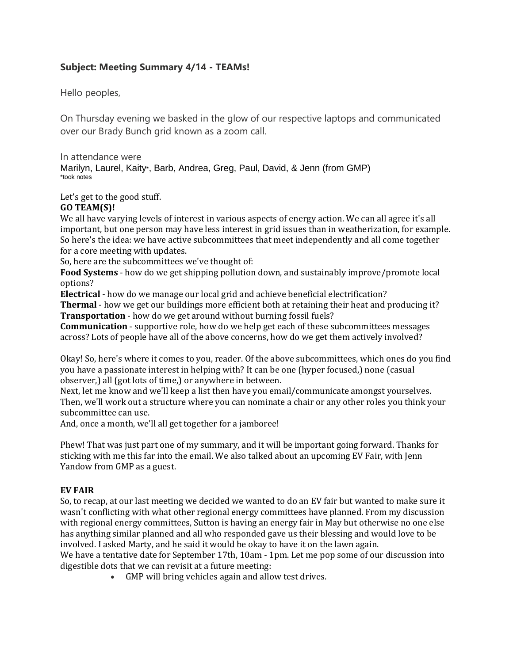# **Subject: Meeting Summary 4/14 - TEAMs!**

Hello peoples,

On Thursday evening we basked in the glow of our respective laptops and communicated over our Brady Bunch grid known as a zoom call.

In attendance were Marilyn, Laurel, Kaity\*, Barb, Andrea, Greg, Paul, David, & Jenn (from GMP) \*took notes

Let's get to the good stuff.

## **GO TEAM(S)!**

We all have varying levels of interest in various aspects of energy action. We can all agree it's all important, but one person may have less interest in grid issues than in weatherization, for example. So here's the idea: we have active subcommittees that meet independently and all come together for a core meeting with updates.

So, here are the subcommittees we've thought of:

**Food Systems** - how do we get shipping pollution down, and sustainably improve/promote local options?

**Electrical** - how do we manage our local grid and achieve beneficial electrification?

**Thermal** - how we get our buildings more efficient both at retaining their heat and producing it? **Transportation** - how do we get around without burning fossil fuels?

**Communication** - supportive role, how do we help get each of these subcommittees messages across? Lots of people have all of the above concerns, how do we get them actively involved?

Okay! So, here's where it comes to you, reader. Of the above subcommittees, which ones do you find you have a passionate interest in helping with? It can be one (hyper focused,) none (casual observer,) all (got lots of time,) or anywhere in between.

Next, let me know and we'll keep a list then have you email/communicate amongst yourselves. Then, we'll work out a structure where you can nominate a chair or any other roles you think your subcommittee can use.

And, once a month, we'll all get together for a jamboree!

Phew! That was just part one of my summary, and it will be important going forward. Thanks for sticking with me this far into the email. We also talked about an upcoming EV Fair, with Jenn Yandow from GMP as a guest.

## **EV FAIR**

So, to recap, at our last meeting we decided we wanted to do an EV fair but wanted to make sure it wasn't conflicting with what other regional energy committees have planned. From my discussion with regional energy committees, Sutton is having an energy fair in May but otherwise no one else has anything similar planned and all who responded gave us their blessing and would love to be involved. I asked Marty, and he said it would be okay to have it on the lawn again.

We have a tentative date for September 17th, 10am - 1pm. Let me pop some of our discussion into digestible dots that we can revisit at a future meeting:

• GMP will bring vehicles again and allow test drives.